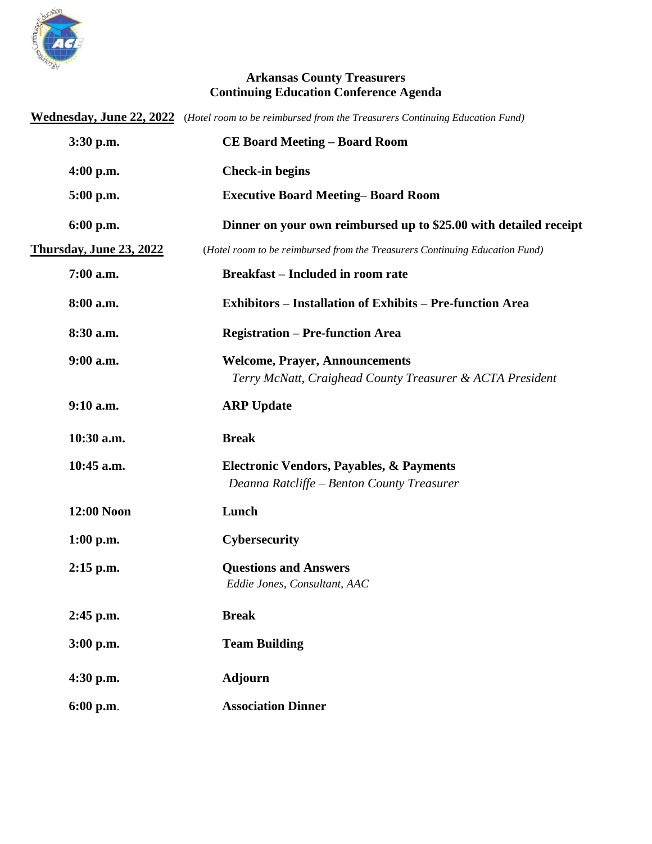

## **Arkansas County Treasurers Continuing Education Conference Agenda**

|                                | Wednesday, June 22, 2022 (Hotel room to be reimbursed from the Treasurers Continuing Education Fund) |
|--------------------------------|------------------------------------------------------------------------------------------------------|
| 3:30 p.m.                      | <b>CE Board Meeting - Board Room</b>                                                                 |
| $4:00$ p.m.                    | <b>Check-in begins</b>                                                                               |
| 5:00 p.m.                      | <b>Executive Board Meeting–Board Room</b>                                                            |
| 6:00 p.m.                      | Dinner on your own reimbursed up to \$25.00 with detailed receipt                                    |
| <b>Thursday, June 23, 2022</b> | (Hotel room to be reimbursed from the Treasurers Continuing Education Fund)                          |
| 7:00 a.m.                      | <b>Breakfast – Included in room rate</b>                                                             |
| 8:00 a.m.                      | <b>Exhibitors – Installation of Exhibits – Pre-function Area</b>                                     |
| 8:30 a.m.                      | <b>Registration - Pre-function Area</b>                                                              |
| $9:00$ a.m.                    | <b>Welcome, Prayer, Announcements</b><br>Terry McNatt, Craighead County Treasurer & ACTA President   |
| 9:10 a.m.                      | <b>ARP Update</b>                                                                                    |
| 10:30 a.m.                     | <b>Break</b>                                                                                         |
| 10:45 a.m.                     | Electronic Vendors, Payables, & Payments<br>Deanna Ratcliffe - Benton County Treasurer               |
| 12:00 Noon                     | Lunch                                                                                                |
| $1:00$ p.m.                    | Cybersecurity                                                                                        |
| $2:15$ p.m.                    | <b>Questions and Answers</b><br>Eddie Jones, Consultant, AAC                                         |
| 2:45 p.m.                      | <b>Break</b>                                                                                         |
| 3:00 p.m.                      | <b>Team Building</b>                                                                                 |
| 4:30 p.m.                      | <b>Adjourn</b>                                                                                       |
| 6:00 p.m.                      | <b>Association Dinner</b>                                                                            |